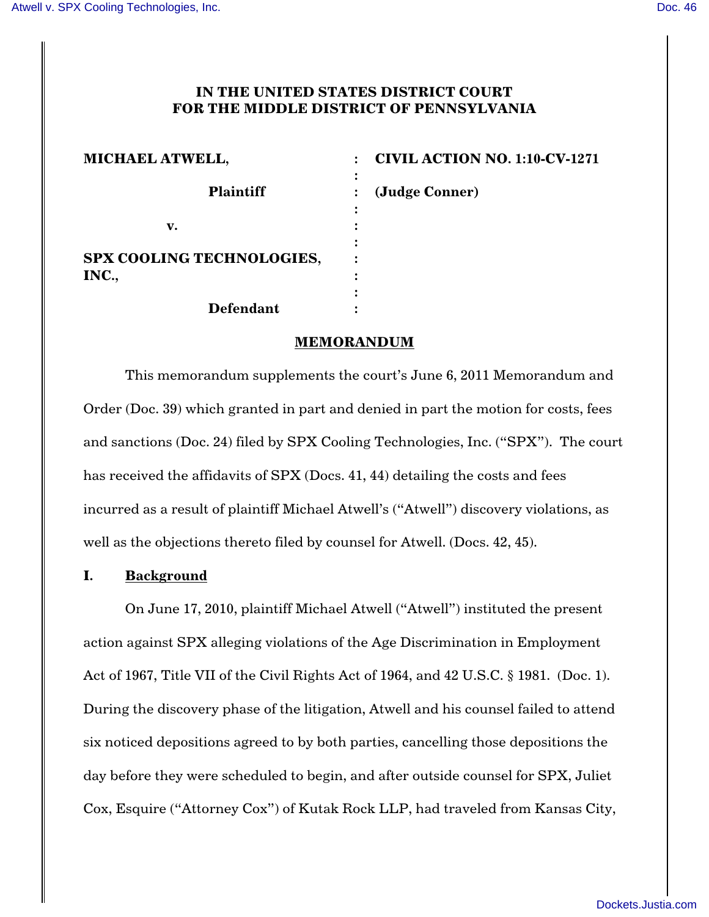## **IN THE UNITED STATES DISTRICT COURT FOR THE MIDDLE DISTRICT OF PENNSYLVANIA**

| <b>MICHAEL ATWELL,</b>             | <b>CIVIL ACTION NO. 1:10-CV-1271</b> |
|------------------------------------|--------------------------------------|
| <b>Plaintiff</b>                   | (Judge Conner)                       |
|                                    |                                      |
| v.                                 |                                      |
|                                    |                                      |
| SPX COOLING TECHNOLOGIES,<br>INC., | ٠                                    |
|                                    | ٠                                    |
| Defendant                          |                                      |

## **MEMORANDUM**

This memorandum supplements the court's June 6, 2011 Memorandum and Order (Doc. 39) which granted in part and denied in part the motion for costs, fees and sanctions (Doc. 24) filed by SPX Cooling Technologies, Inc. ("SPX"). The court has received the affidavits of SPX (Docs. 41, 44) detailing the costs and fees incurred as a result of plaintiff Michael Atwell's ("Atwell") discovery violations, as well as the objections thereto filed by counsel for Atwell. (Docs. 42, 45).

## **I. Background**

On June 17, 2010, plaintiff Michael Atwell ("Atwell") instituted the present action against SPX alleging violations of the Age Discrimination in Employment Act of 1967, Title VII of the Civil Rights Act of 1964, and 42 U.S.C. § 1981. (Doc. 1). During the discovery phase of the litigation, Atwell and his counsel failed to attend six noticed depositions agreed to by both parties, cancelling those depositions the day before they were scheduled to begin, and after outside counsel for SPX, Juliet Cox, Esquire ("Attorney Cox") of Kutak Rock LLP, had traveled from Kansas City,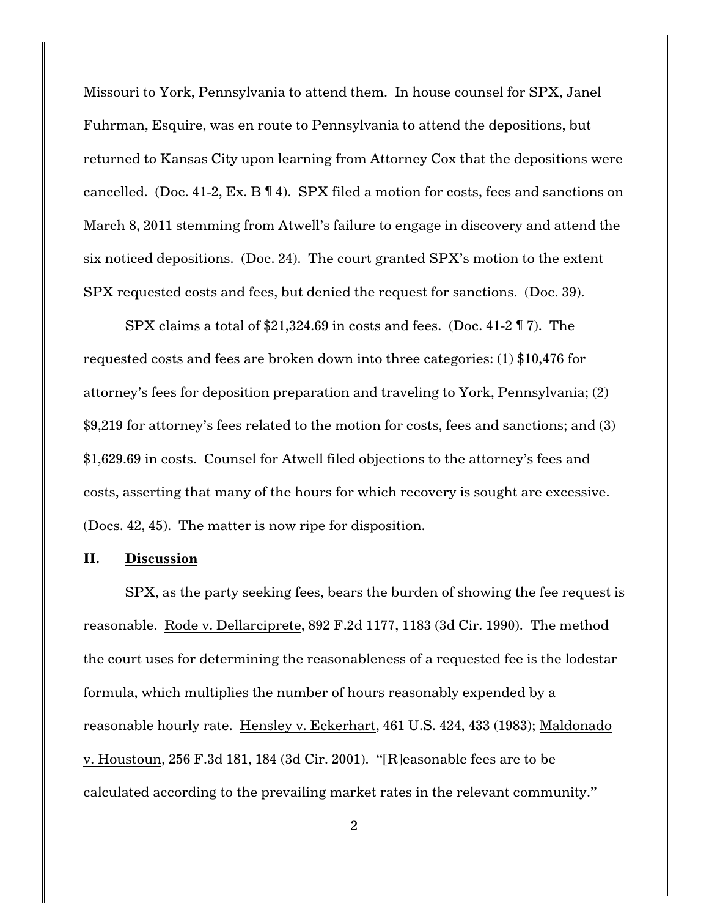Missouri to York, Pennsylvania to attend them. In house counsel for SPX, Janel Fuhrman, Esquire, was en route to Pennsylvania to attend the depositions, but returned to Kansas City upon learning from Attorney Cox that the depositions were cancelled. (Doc. 41-2,  $Ex. B \parallel 4$ ). SPX filed a motion for costs, fees and sanctions on March 8, 2011 stemming from Atwell's failure to engage in discovery and attend the six noticed depositions. (Doc. 24). The court granted SPX's motion to the extent SPX requested costs and fees, but denied the request for sanctions. (Doc. 39).

SPX claims a total of \$21,324.69 in costs and fees. (Doc. 41-2 ¶ 7). The requested costs and fees are broken down into three categories: (1) \$10,476 for attorney's fees for deposition preparation and traveling to York, Pennsylvania; (2) \$9,219 for attorney's fees related to the motion for costs, fees and sanctions; and (3) \$1,629.69 in costs. Counsel for Atwell filed objections to the attorney's fees and costs, asserting that many of the hours for which recovery is sought are excessive. (Docs. 42, 45). The matter is now ripe for disposition.

#### **II. Discussion**

SPX, as the party seeking fees, bears the burden of showing the fee request is reasonable. Rode v. Dellarciprete, 892 F.2d 1177, 1183 (3d Cir. 1990). The method the court uses for determining the reasonableness of a requested fee is the lodestar formula, which multiplies the number of hours reasonably expended by a reasonable hourly rate. Hensley v. Eckerhart, 461 U.S. 424, 433 (1983); Maldonado v. Houstoun, 256 F.3d 181, 184 (3d Cir. 2001). "[R]easonable fees are to be calculated according to the prevailing market rates in the relevant community."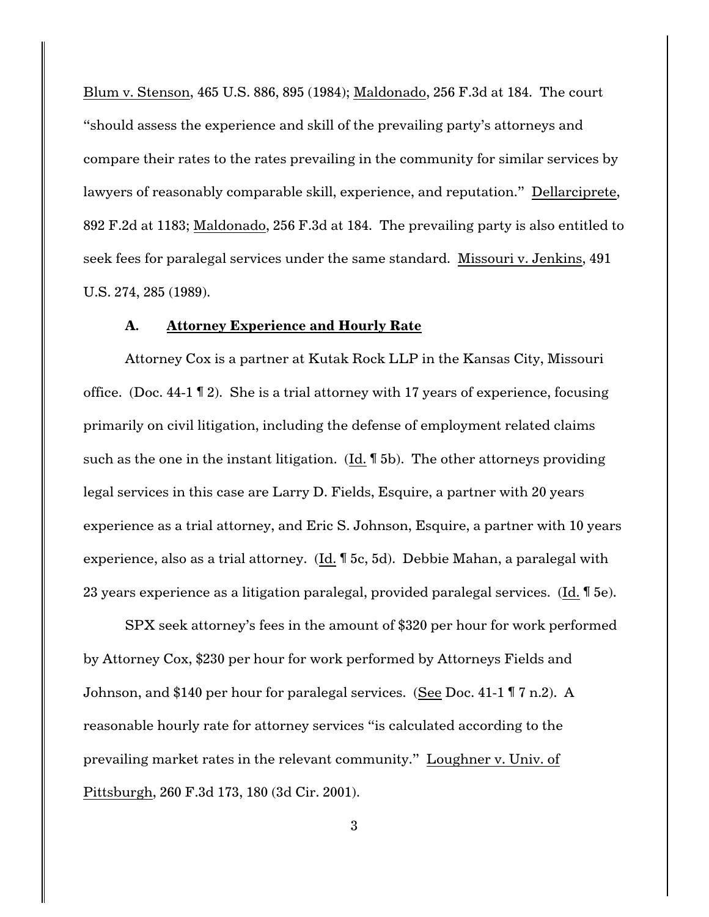Blum v. Stenson, 465 U.S. 886, 895 (1984); Maldonado, 256 F.3d at 184. The court "should assess the experience and skill of the prevailing party's attorneys and compare their rates to the rates prevailing in the community for similar services by lawyers of reasonably comparable skill, experience, and reputation." Dellarciprete, 892 F.2d at 1183; Maldonado, 256 F.3d at 184. The prevailing party is also entitled to seek fees for paralegal services under the same standard. Missouri v. Jenkins, 491 U.S. 274, 285 (1989).

## **A. Attorney Experience and Hourly Rate**

Attorney Cox is a partner at Kutak Rock LLP in the Kansas City, Missouri office. (Doc. 44-1 ¶ 2). She is a trial attorney with 17 years of experience, focusing primarily on civil litigation, including the defense of employment related claims such as the one in the instant litigation. (Id. ¶ 5b). The other attorneys providing legal services in this case are Larry D. Fields, Esquire, a partner with 20 years experience as a trial attorney, and Eric S. Johnson, Esquire, a partner with 10 years experience, also as a trial attorney. (Id. ¶ 5c, 5d). Debbie Mahan, a paralegal with 23 years experience as a litigation paralegal, provided paralegal services. (Id. ¶ 5e).

SPX seek attorney's fees in the amount of \$320 per hour for work performed by Attorney Cox, \$230 per hour for work performed by Attorneys Fields and Johnson, and \$140 per hour for paralegal services. (See Doc. 41-1 ¶ 7 n.2). A reasonable hourly rate for attorney services "is calculated according to the prevailing market rates in the relevant community." Loughner v. Univ. of Pittsburgh, 260 F.3d 173, 180 (3d Cir. 2001).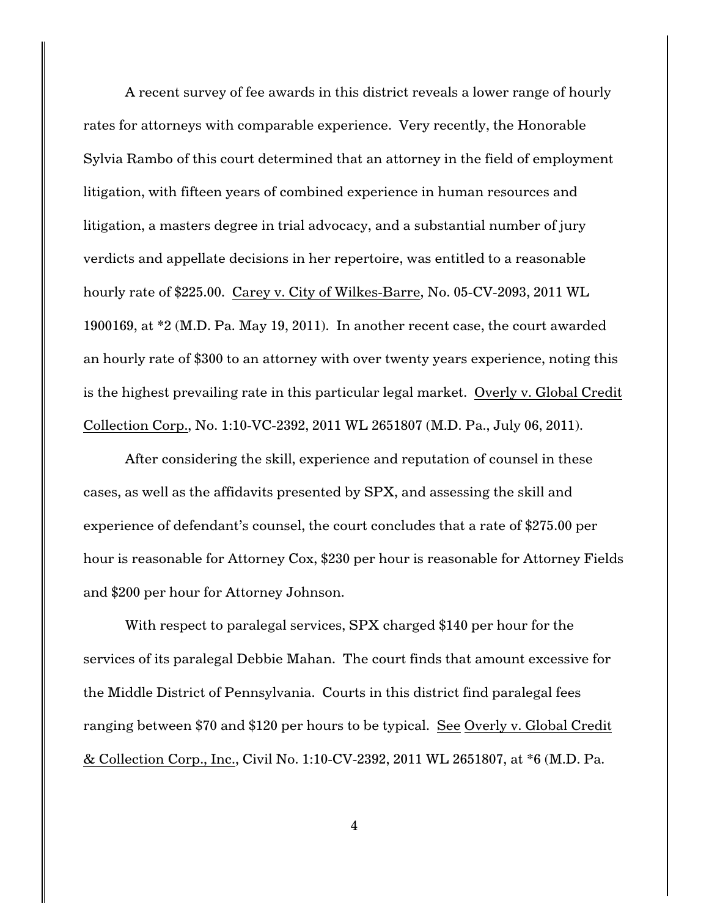A recent survey of fee awards in this district reveals a lower range of hourly rates for attorneys with comparable experience. Very recently, the Honorable Sylvia Rambo of this court determined that an attorney in the field of employment litigation, with fifteen years of combined experience in human resources and litigation, a masters degree in trial advocacy, and a substantial number of jury verdicts and appellate decisions in her repertoire, was entitled to a reasonable hourly rate of \$225.00. Carey v. City of Wilkes-Barre, No. 05-CV-2093, 2011 WL 1900169, at \*2 (M.D. Pa. May 19, 2011). In another recent case, the court awarded an hourly rate of \$300 to an attorney with over twenty years experience, noting this is the highest prevailing rate in this particular legal market. Overly v. Global Credit Collection Corp., No. 1:10-VC-2392, 2011 WL 2651807 (M.D. Pa., July 06, 2011).

After considering the skill, experience and reputation of counsel in these cases, as well as the affidavits presented by SPX, and assessing the skill and experience of defendant's counsel, the court concludes that a rate of \$275.00 per hour is reasonable for Attorney Cox, \$230 per hour is reasonable for Attorney Fields and \$200 per hour for Attorney Johnson.

With respect to paralegal services, SPX charged \$140 per hour for the services of its paralegal Debbie Mahan. The court finds that amount excessive for the Middle District of Pennsylvania. Courts in this district find paralegal fees ranging between \$70 and \$120 per hours to be typical. See Overly v. Global Credit & Collection Corp., Inc., Civil No. 1:10-CV-2392, 2011 WL 2651807, at \*6 (M.D. Pa.

4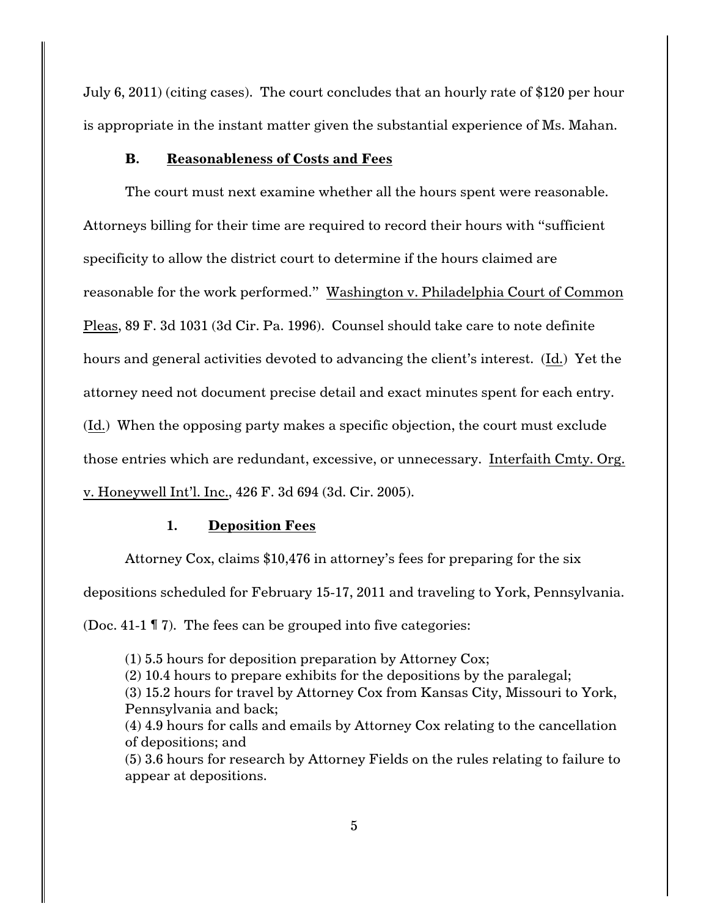July 6, 2011) (citing cases). The court concludes that an hourly rate of \$120 per hour is appropriate in the instant matter given the substantial experience of Ms. Mahan.

## **B. Reasonableness of Costs and Fees**

The court must next examine whether all the hours spent were reasonable. Attorneys billing for their time are required to record their hours with "sufficient specificity to allow the district court to determine if the hours claimed are reasonable for the work performed." Washington v. Philadelphia Court of Common Pleas, 89 F. 3d 1031 (3d Cir. Pa. 1996). Counsel should take care to note definite hours and general activities devoted to advancing the client's interest. (Id.) Yet the attorney need not document precise detail and exact minutes spent for each entry. (Id.) When the opposing party makes a specific objection, the court must exclude those entries which are redundant, excessive, or unnecessary. Interfaith Cmty. Org. v. Honeywell Int'l. Inc., 426 F. 3d 694 (3d. Cir. 2005).

#### **1. Deposition Fees**

Attorney Cox, claims \$10,476 in attorney's fees for preparing for the six

depositions scheduled for February 15-17, 2011 and traveling to York, Pennsylvania.

(Doc. 41-1 ¶ 7). The fees can be grouped into five categories:

(1) 5.5 hours for deposition preparation by Attorney Cox;

(2) 10.4 hours to prepare exhibits for the depositions by the paralegal;

(3) 15.2 hours for travel by Attorney Cox from Kansas City, Missouri to York, Pennsylvania and back;

(4) 4.9 hours for calls and emails by Attorney Cox relating to the cancellation of depositions; and

(5) 3.6 hours for research by Attorney Fields on the rules relating to failure to appear at depositions.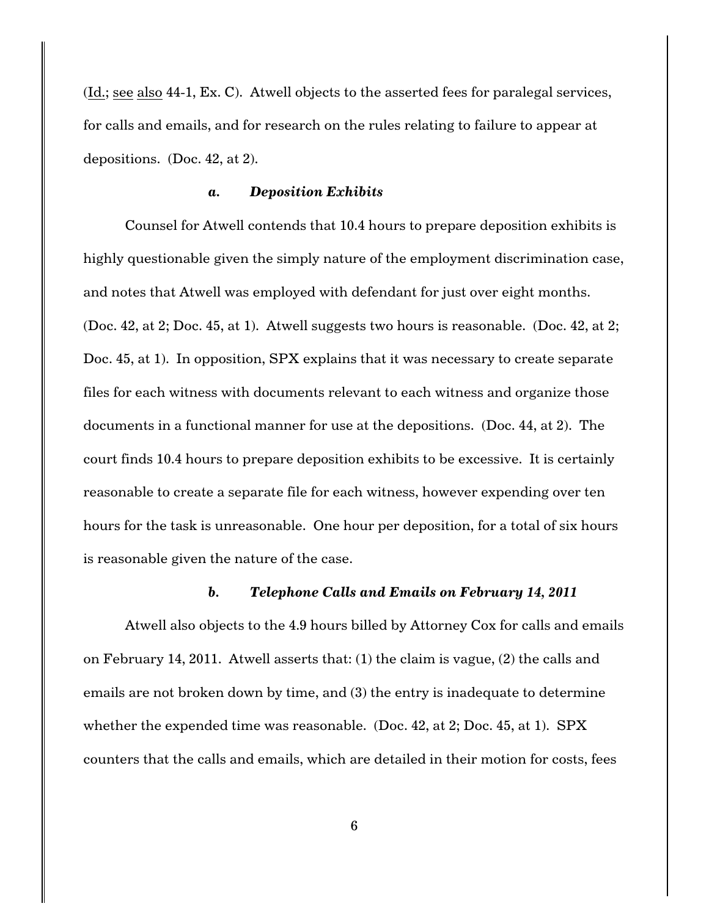(Id.; see also 44-1, Ex. C). Atwell objects to the asserted fees for paralegal services, for calls and emails, and for research on the rules relating to failure to appear at depositions. (Doc. 42, at 2).

#### *a. Deposition Exhibits*

Counsel for Atwell contends that 10.4 hours to prepare deposition exhibits is highly questionable given the simply nature of the employment discrimination case, and notes that Atwell was employed with defendant for just over eight months. (Doc. 42, at 2; Doc. 45, at 1). Atwell suggests two hours is reasonable. (Doc. 42, at 2; Doc. 45, at 1). In opposition, SPX explains that it was necessary to create separate files for each witness with documents relevant to each witness and organize those documents in a functional manner for use at the depositions. (Doc. 44, at 2). The court finds 10.4 hours to prepare deposition exhibits to be excessive. It is certainly reasonable to create a separate file for each witness, however expending over ten hours for the task is unreasonable. One hour per deposition, for a total of six hours is reasonable given the nature of the case.

## *b. Telephone Calls and Emails on February 14, 2011*

Atwell also objects to the 4.9 hours billed by Attorney Cox for calls and emails on February 14, 2011. Atwell asserts that: (1) the claim is vague, (2) the calls and emails are not broken down by time, and (3) the entry is inadequate to determine whether the expended time was reasonable. (Doc. 42, at 2; Doc. 45, at 1). SPX counters that the calls and emails, which are detailed in their motion for costs, fees

6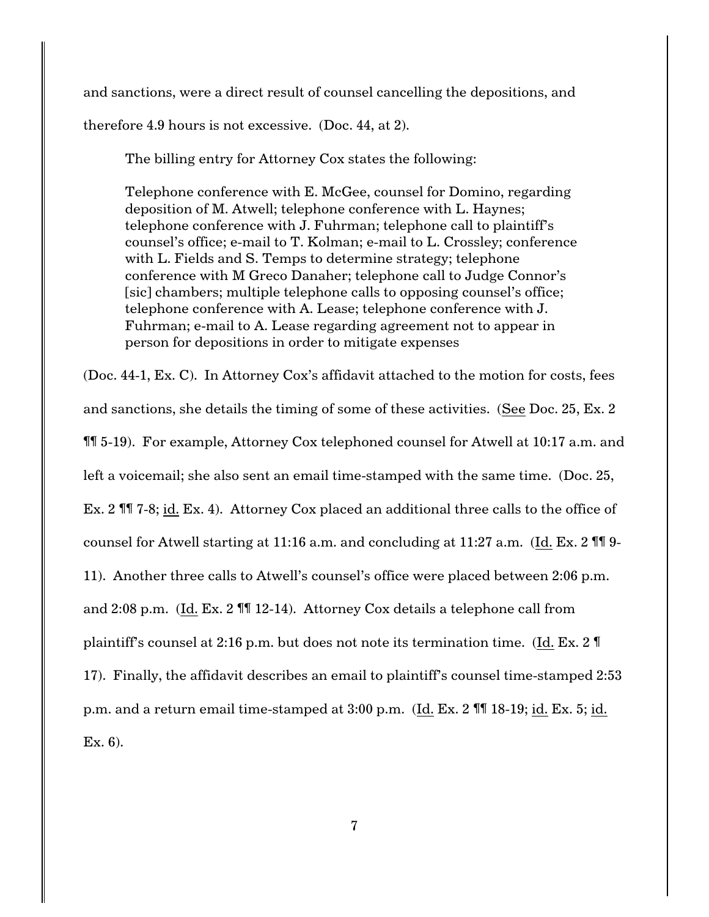and sanctions, were a direct result of counsel cancelling the depositions, and

therefore 4.9 hours is not excessive. (Doc. 44, at 2).

The billing entry for Attorney Cox states the following:

Telephone conference with E. McGee, counsel for Domino, regarding deposition of M. Atwell; telephone conference with L. Haynes; telephone conference with J. Fuhrman; telephone call to plaintiff's counsel's office; e-mail to T. Kolman; e-mail to L. Crossley; conference with L. Fields and S. Temps to determine strategy; telephone conference with M Greco Danaher; telephone call to Judge Connor's [sic] chambers; multiple telephone calls to opposing counsel's office; telephone conference with A. Lease; telephone conference with J. Fuhrman; e-mail to A. Lease regarding agreement not to appear in person for depositions in order to mitigate expenses

(Doc. 44-1, Ex. C). In Attorney Cox's affidavit attached to the motion for costs, fees and sanctions, she details the timing of some of these activities. (See Doc. 25, Ex. 2 ¶¶ 5-19). For example, Attorney Cox telephoned counsel for Atwell at 10:17 a.m. and left a voicemail; she also sent an email time-stamped with the same time. (Doc. 25, Ex. 2 ¶¶ 7-8; id. Ex. 4). Attorney Cox placed an additional three calls to the office of counsel for Atwell starting at 11:16 a.m. and concluding at 11:27 a.m. (Id. Ex. 2  $\text{III } 9$ -11). Another three calls to Atwell's counsel's office were placed between 2:06 p.m. and 2:08 p.m. (Id. Ex. 2 ¶¶ 12-14). Attorney Cox details a telephone call from plaintiff's counsel at 2:16 p.m. but does not note its termination time. (Id. Ex. 2 ¶ 17). Finally, the affidavit describes an email to plaintiff's counsel time-stamped 2:53 p.m. and a return email time-stamped at 3:00 p.m. (Id. Ex. 2 ¶¶ 18-19; id. Ex. 5; id. Ex. 6).

7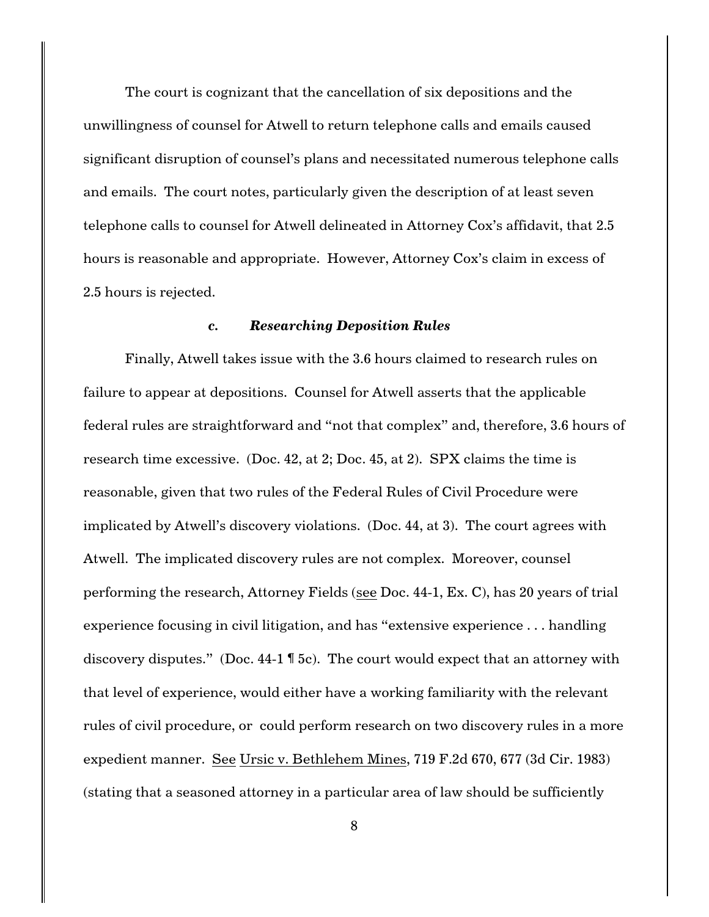The court is cognizant that the cancellation of six depositions and the unwillingness of counsel for Atwell to return telephone calls and emails caused significant disruption of counsel's plans and necessitated numerous telephone calls and emails. The court notes, particularly given the description of at least seven telephone calls to counsel for Atwell delineated in Attorney Cox's affidavit, that 2.5 hours is reasonable and appropriate. However, Attorney Cox's claim in excess of 2.5 hours is rejected.

#### *c. Researching Deposition Rules*

Finally, Atwell takes issue with the 3.6 hours claimed to research rules on failure to appear at depositions. Counsel for Atwell asserts that the applicable federal rules are straightforward and "not that complex" and, therefore, 3.6 hours of research time excessive. (Doc. 42, at 2; Doc. 45, at 2). SPX claims the time is reasonable, given that two rules of the Federal Rules of Civil Procedure were implicated by Atwell's discovery violations. (Doc. 44, at 3). The court agrees with Atwell. The implicated discovery rules are not complex. Moreover, counsel performing the research, Attorney Fields (see Doc. 44-1, Ex. C), has 20 years of trial experience focusing in civil litigation, and has "extensive experience . . . handling discovery disputes." (Doc. 44-1 ¶ 5c). The court would expect that an attorney with that level of experience, would either have a working familiarity with the relevant rules of civil procedure, or could perform research on two discovery rules in a more expedient manner. See Ursic v. Bethlehem Mines, 719 F.2d 670, 677 (3d Cir. 1983) (stating that a seasoned attorney in a particular area of law should be sufficiently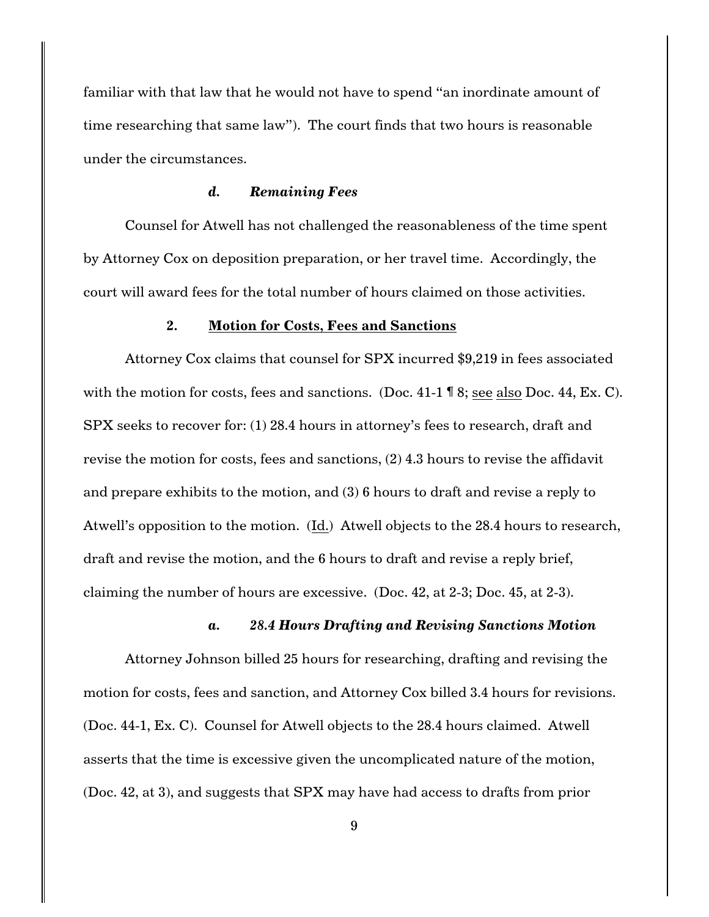familiar with that law that he would not have to spend "an inordinate amount of time researching that same law"). The court finds that two hours is reasonable under the circumstances.

## *d. Remaining Fees*

Counsel for Atwell has not challenged the reasonableness of the time spent by Attorney Cox on deposition preparation, or her travel time. Accordingly, the court will award fees for the total number of hours claimed on those activities.

## **2. Motion for Costs, Fees and Sanctions**

Attorney Cox claims that counsel for SPX incurred \$9,219 in fees associated with the motion for costs, fees and sanctions. (Doc. 41-1 ¶ 8; see also Doc. 44, Ex. C). SPX seeks to recover for: (1) 28.4 hours in attorney's fees to research, draft and revise the motion for costs, fees and sanctions, (2) 4.3 hours to revise the affidavit and prepare exhibits to the motion, and (3) 6 hours to draft and revise a reply to Atwell's opposition to the motion. (Id.) Atwell objects to the 28.4 hours to research, draft and revise the motion, and the 6 hours to draft and revise a reply brief, claiming the number of hours are excessive. (Doc. 42, at 2-3; Doc. 45, at 2-3).

#### *a. 28.4 Hours Drafting and Revising Sanctions Motion*

Attorney Johnson billed 25 hours for researching, drafting and revising the motion for costs, fees and sanction, and Attorney Cox billed 3.4 hours for revisions. (Doc. 44-1, Ex. C). Counsel for Atwell objects to the 28.4 hours claimed. Atwell asserts that the time is excessive given the uncomplicated nature of the motion, (Doc. 42, at 3), and suggests that SPX may have had access to drafts from prior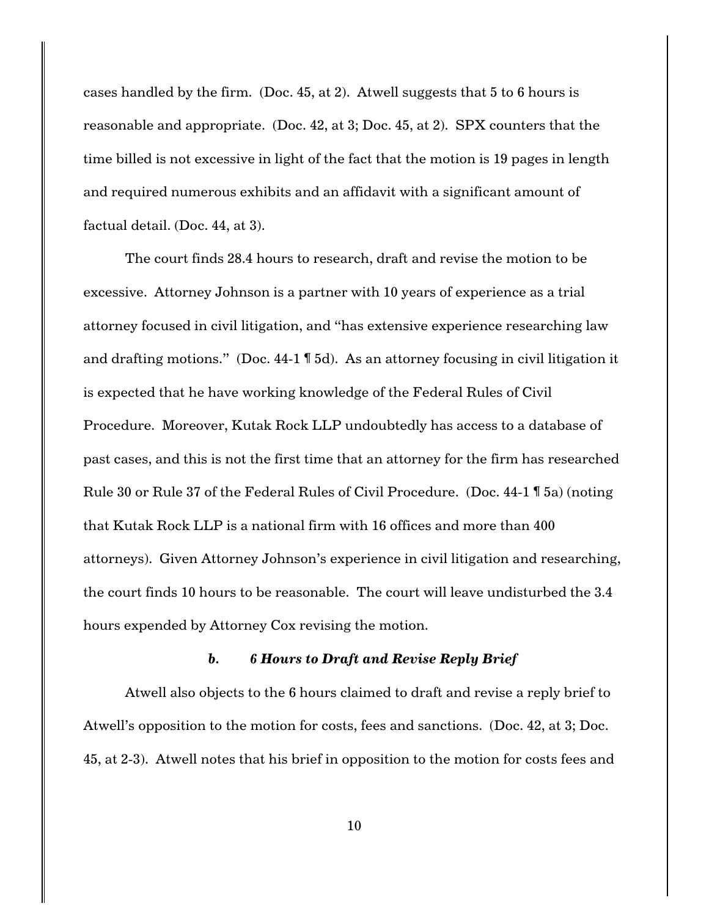cases handled by the firm. (Doc. 45, at 2). Atwell suggests that 5 to 6 hours is reasonable and appropriate. (Doc. 42, at 3; Doc. 45, at 2). SPX counters that the time billed is not excessive in light of the fact that the motion is 19 pages in length and required numerous exhibits and an affidavit with a significant amount of factual detail. (Doc. 44, at 3).

The court finds 28.4 hours to research, draft and revise the motion to be excessive. Attorney Johnson is a partner with 10 years of experience as a trial attorney focused in civil litigation, and "has extensive experience researching law and drafting motions." (Doc. 44-1 ¶ 5d). As an attorney focusing in civil litigation it is expected that he have working knowledge of the Federal Rules of Civil Procedure. Moreover, Kutak Rock LLP undoubtedly has access to a database of past cases, and this is not the first time that an attorney for the firm has researched Rule 30 or Rule 37 of the Federal Rules of Civil Procedure. (Doc. 44-1 ¶ 5a) (noting that Kutak Rock LLP is a national firm with 16 offices and more than 400 attorneys). Given Attorney Johnson's experience in civil litigation and researching, the court finds 10 hours to be reasonable. The court will leave undisturbed the 3.4 hours expended by Attorney Cox revising the motion.

## *b. 6 Hours to Draft and Revise Reply Brief*

Atwell also objects to the 6 hours claimed to draft and revise a reply brief to Atwell's opposition to the motion for costs, fees and sanctions. (Doc. 42, at 3; Doc. 45, at 2-3). Atwell notes that his brief in opposition to the motion for costs fees and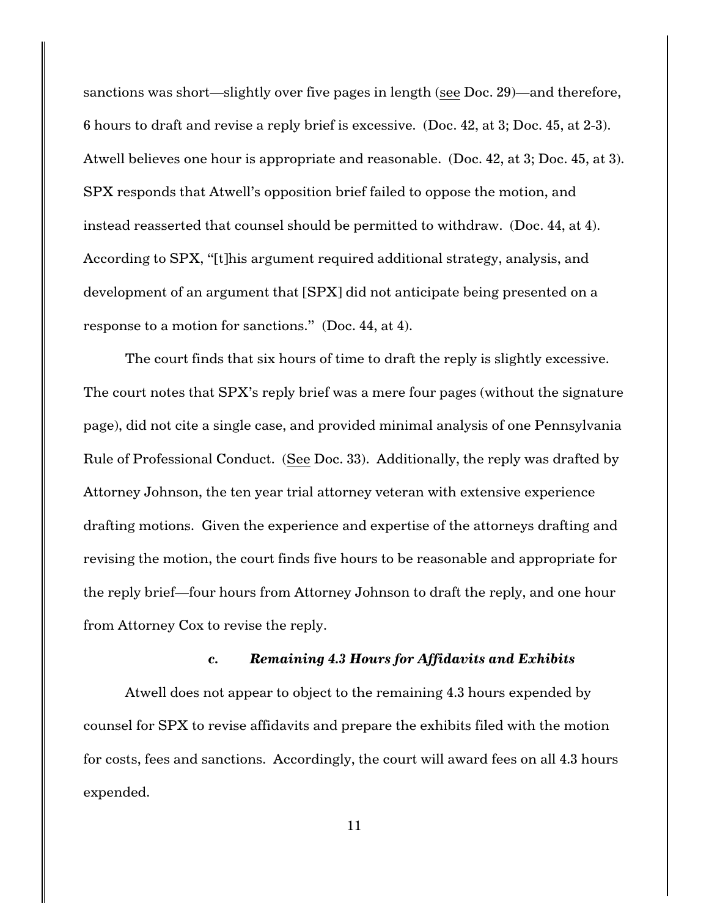sanctions was short—slightly over five pages in length (see Doc. 29)—and therefore, 6 hours to draft and revise a reply brief is excessive. (Doc. 42, at 3; Doc. 45, at 2-3). Atwell believes one hour is appropriate and reasonable. (Doc. 42, at 3; Doc. 45, at 3). SPX responds that Atwell's opposition brief failed to oppose the motion, and instead reasserted that counsel should be permitted to withdraw. (Doc. 44, at 4). According to SPX, "[t]his argument required additional strategy, analysis, and development of an argument that [SPX] did not anticipate being presented on a response to a motion for sanctions." (Doc. 44, at 4).

The court finds that six hours of time to draft the reply is slightly excessive. The court notes that SPX's reply brief was a mere four pages (without the signature page), did not cite a single case, and provided minimal analysis of one Pennsylvania Rule of Professional Conduct. (See Doc. 33). Additionally, the reply was drafted by Attorney Johnson, the ten year trial attorney veteran with extensive experience drafting motions. Given the experience and expertise of the attorneys drafting and revising the motion, the court finds five hours to be reasonable and appropriate for the reply brief—four hours from Attorney Johnson to draft the reply, and one hour from Attorney Cox to revise the reply.

### *c. Remaining 4.3 Hours for Affidavits and Exhibits*

Atwell does not appear to object to the remaining 4.3 hours expended by counsel for SPX to revise affidavits and prepare the exhibits filed with the motion for costs, fees and sanctions. Accordingly, the court will award fees on all 4.3 hours expended.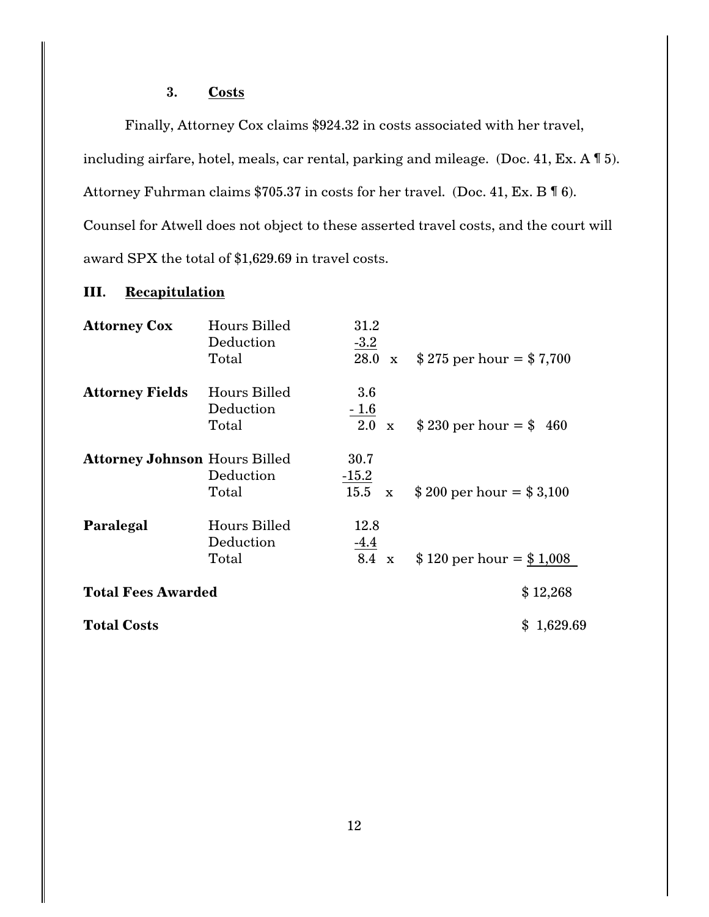# **3. Costs**

Finally, Attorney Cox claims \$924.32 in costs associated with her travel, including airfare, hotel, meals, car rental, parking and mileage. (Doc. 41, Ex. A ¶ 5). Attorney Fuhrman claims \$705.37 in costs for her travel. (Doc. 41, Ex. B ¶ 6). Counsel for Atwell does not object to these asserted travel costs, and the court will award SPX the total of \$1,629.69 in travel costs.

## **III. Recapitulation**

| <b>Attorney Cox</b>                  | Hours Billed | 31.2                |                                |
|--------------------------------------|--------------|---------------------|--------------------------------|
|                                      | Deduction    | $-3.2$              |                                |
|                                      | Total        | $28.0 \times$       | $$275$ per hour = \$7,700      |
| <b>Attorney Fields</b>               | Hours Billed | 3.6                 |                                |
|                                      | Deduction    | $-1.6$              |                                |
|                                      | Total        | 2.0<br>$\mathbf{x}$ | $$230 \text{ per hour} = $460$ |
| <b>Attorney Johnson Hours Billed</b> |              | 30.7                |                                |
|                                      | Deduction    | $-15.2$             |                                |
|                                      | Total        | $15.5 \times$       | $$200$ per hour = $$3,100$     |
| <b>Paralegal</b>                     | Hours Billed | 12.8                |                                |
|                                      | Deduction    | $-4.4$              |                                |
|                                      | Total        | 8.4 x               | $$120$ per hour = $$1,008$     |
| <b>Total Fees Awarded</b>            |              |                     | \$12,268                       |
| <b>Total Costs</b>                   |              |                     | \$1,629.69                     |
|                                      |              |                     |                                |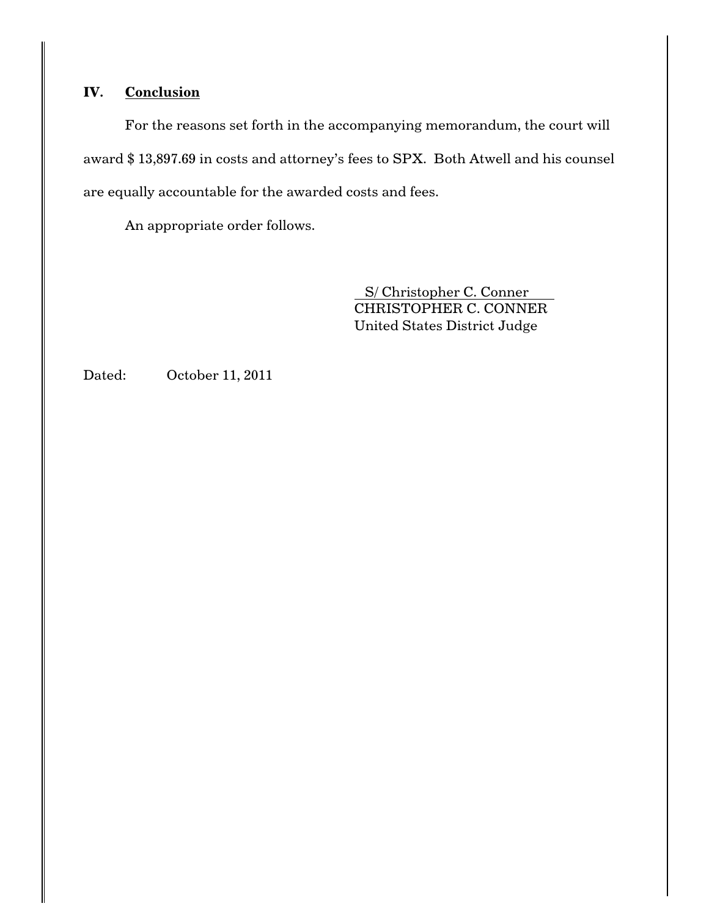# **IV. Conclusion**

For the reasons set forth in the accompanying memorandum, the court will award \$ 13,897.69 in costs and attorney's fees to SPX. Both Atwell and his counsel are equally accountable for the awarded costs and fees.

An appropriate order follows.

 S/ Christopher C. Conner CHRISTOPHER C. CONNER United States District Judge

Dated: October 11, 2011